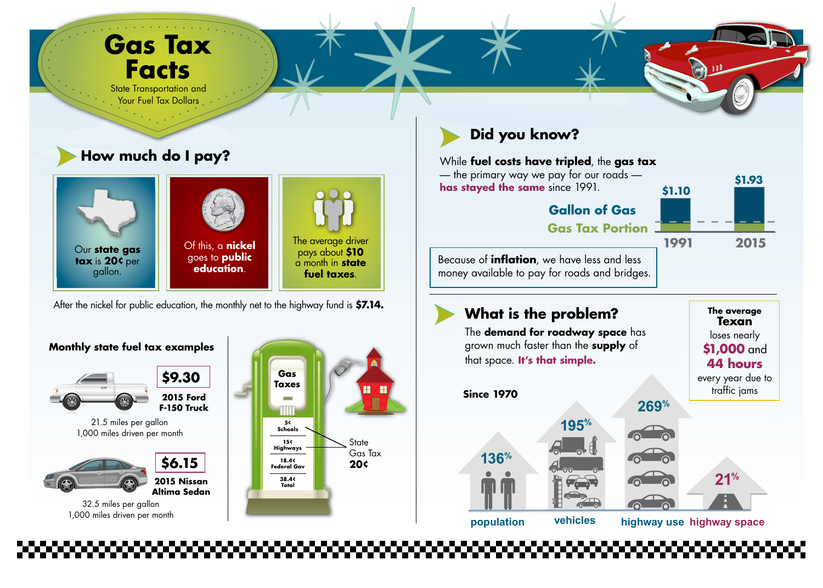# **Gas Tax Facts**

State Transportation and Your Fuel Tax Dollars

## **How much do I pay?**





Our **state gas tax** is **20¢** per gallon.

Of this, a **nickel** goes to **public education**.

The average driver pays about **\$10** a month in **state fuel taxes**.

After the nickel for public education, the monthly net to the highway fund is **\$7.14.**

### **Monthly state fuel tax examples**



**2015 Nissan Altima Sedan**





#### While **fuel costs have tripled**, the **gas tax**

— the primary way we pay for our roads **has stayed the same** since 1991.



Because of **inflation**, we have less and less money available to pay for roads and bridges.

## **What is the problem?** The average

The **demand for roadway space** has grown much faster than the **supply** of that space. **It's that simple.**

**Texan**  loses nearly **\$1,000** and **44 hours** every year due to



32.5 miles per gallon 1,000 miles driven per month